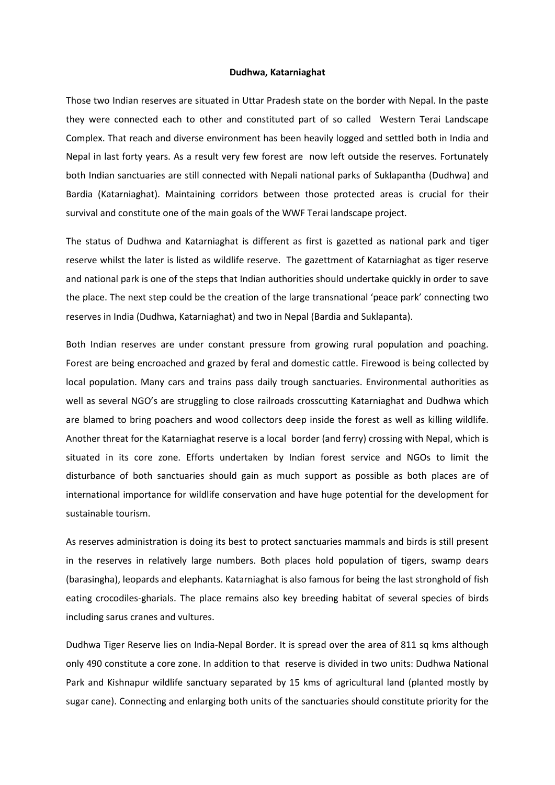## **Dudhwa, Katarniaghat**

Those two Indian reserves are situated in Uttar Pradesh state on the border with Nepal. In the paste they were connected each to other and constituted part of so called Western Terai Landscape Complex. That reach and diverse environment has been heavily logged and settled both in India and Nepal in last forty years. As a result very few forest are now left outside the reserves. Fortunately both Indian sanctuaries are still connected with Nepali national parks of Suklapantha (Dudhwa) and Bardia (Katarniaghat). Maintaining corridors between those protected areas is crucial for their survival and constitute one of the main goals of the WWF Terai landscape project.

The status of Dudhwa and Katarniaghat is different as first is gazetted as national park and tiger reserve whilst the later is listed as wildlife reserve. The gazettment of Katarniaghat as tiger reserve and national park is one of the steps that Indian authorities should undertake quickly in order to save the place. The next step could be the creation of the large transnational 'peace park' connecting two reserves in India (Dudhwa, Katarniaghat) and two in Nepal (Bardia and Suklapanta).

Both Indian reserves are under constant pressure from growing rural population and poaching. Forest are being encroached and grazed by feral and domestic cattle. Firewood is being collected by local population. Many cars and trains pass daily trough sanctuaries. Environmental authorities as well as several NGO's are struggling to close railroads crosscutting Katarniaghat and Dudhwa which are blamed to bring poachers and wood collectors deep inside the forest as well as killing wildlife. Another threat for the Katarniaghat reserve is a local border (and ferry) crossing with Nepal, which is situated in its core zone. Efforts undertaken by Indian forest service and NGOs to limit the disturbance of both sanctuaries should gain as much support as possible as both places are of international importance for wildlife conservation and have huge potential for the development for sustainable tourism.

As reserves administration is doing its best to protect sanctuaries mammals and birds is still present in the reserves in relatively large numbers. Both places hold population of tigers, swamp dears (barasingha), leopards and elephants. Katarniaghat is also famous for being the last stronghold of fish eating crocodiles-gharials. The place remains also key breeding habitat of several species of birds including sarus cranes and vultures.

Dudhwa Tiger Reserve lies on India-Nepal Border. It is spread over the area of 811 sq kms although only 490 constitute a core zone. In addition to that reserve is divided in two units: Dudhwa National Park and Kishnapur wildlife sanctuary separated by 15 kms of agricultural land (planted mostly by sugar cane). Connecting and enlarging both units of the sanctuaries should constitute priority for the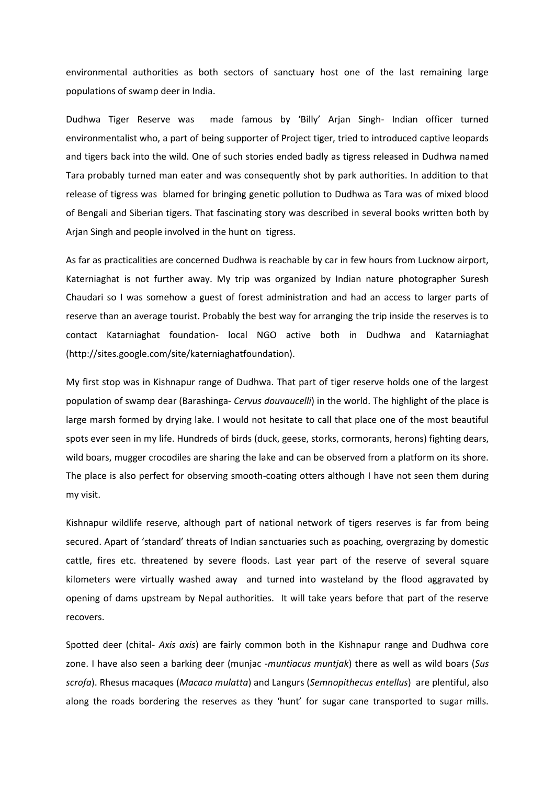environmental authorities as both sectors of sanctuary host one of the last remaining large populations of swamp deer in India.

Dudhwa Tiger Reserve was made famous by 'Billy' Arjan Singh- Indian officer turned environmentalist who, a part of being supporter of Project tiger, tried to introduced captive leopards and tigers back into the wild. One of such stories ended badly as tigress released in Dudhwa named Tara probably turned man eater and was consequently shot by park authorities. In addition to that release of tigress was blamed for bringing genetic pollution to Dudhwa as Tara was of mixed blood of Bengali and Siberian tigers. That fascinating story was described in several books written both by Arjan Singh and people involved in the hunt on tigress.

As far as practicalities are concerned Dudhwa is reachable by car in few hours from Lucknow airport, Katerniaghat is not further away. My trip was organized by Indian nature photographer Suresh Chaudari so I was somehow a guest of forest administration and had an access to larger parts of reserve than an average tourist. Probably the best way for arranging the trip inside the reserves is to contact Katarniaghat foundation- local NGO active both in Dudhwa and Katarniaghat (http://sites.google.com/site/katerniaghatfoundation).

My first stop was in Kishnapur range of Dudhwa. That part of tiger reserve holds one of the largest population of swamp dear (Barashinga- *Cervus douvaucelli*) in the world. The highlight of the place is large marsh formed by drying lake. I would not hesitate to call that place one of the most beautiful spots ever seen in my life. Hundreds of birds (duck, geese, storks, cormorants, herons) fighting dears, wild boars, mugger crocodiles are sharing the lake and can be observed from a platform on its shore. The place is also perfect for observing smooth-coating otters although I have not seen them during my visit.

Kishnapur wildlife reserve, although part of national network of tigers reserves is far from being secured. Apart of 'standard' threats of Indian sanctuaries such as poaching, overgrazing by domestic cattle, fires etc. threatened by severe floods. Last year part of the reserve of several square kilometers were virtually washed away and turned into wasteland by the flood aggravated by opening of dams upstream by Nepal authorities. It will take years before that part of the reserve recovers.

Spotted deer (chital- *Axis axis*) are fairly common both in the Kishnapur range and Dudhwa core zone. I have also seen a barking deer (munjac -*muntiacus muntjak*) there as well as wild boars (*Sus scrofa*). Rhesus macaques (*Macaca mulatta*) and Langurs (*Semnopithecus entellus*) are plentiful, also along the roads bordering the reserves as they 'hunt' for sugar cane transported to sugar mills.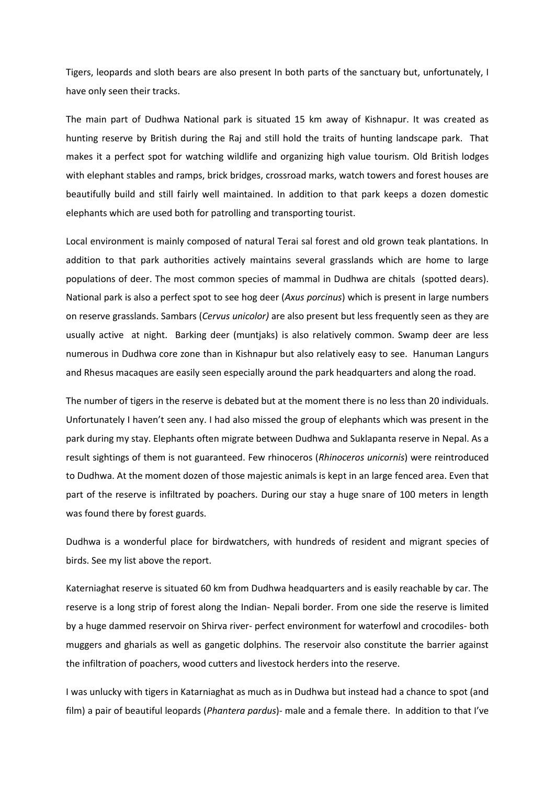Tigers, leopards and sloth bears are also present In both parts of the sanctuary but, unfortunately, I have only seen their tracks.

The main part of Dudhwa National park is situated 15 km away of Kishnapur. It was created as hunting reserve by British during the Raj and still hold the traits of hunting landscape park. That makes it a perfect spot for watching wildlife and organizing high value tourism. Old British lodges with elephant stables and ramps, brick bridges, crossroad marks, watch towers and forest houses are beautifully build and still fairly well maintained. In addition to that park keeps a dozen domestic elephants which are used both for patrolling and transporting tourist.

Local environment is mainly composed of natural Terai sal forest and old grown teak plantations. In addition to that park authorities actively maintains several grasslands which are home to large populations of deer. The most common species of mammal in Dudhwa are chitals (spotted dears). National park is also a perfect spot to see hog deer (*Axus porcinus*) which is present in large numbers on reserve grasslands. Sambars (*Cervus unicolor)* are also present but less frequently seen as they are usually active at night. Barking deer (muntjaks) is also relatively common. Swamp deer are less numerous in Dudhwa core zone than in Kishnapur but also relatively easy to see. Hanuman Langurs and Rhesus macaques are easily seen especially around the park headquarters and along the road.

The number of tigers in the reserve is debated but at the moment there is no less than 20 individuals. Unfortunately I haven't seen any. I had also missed the group of elephants which was present in the park during my stay. Elephants often migrate between Dudhwa and Suklapanta reserve in Nepal. As a result sightings of them is not guaranteed. Few rhinoceros (*Rhinoceros unicornis*) were reintroduced to Dudhwa. At the moment dozen of those majestic animals is kept in an large fenced area. Even that part of the reserve is infiltrated by poachers. During our stay a huge snare of 100 meters in length was found there by forest guards.

Dudhwa is a wonderful place for birdwatchers, with hundreds of resident and migrant species of birds. See my list above the report.

Katerniaghat reserve is situated 60 km from Dudhwa headquarters and is easily reachable by car. The reserve is a long strip of forest along the Indian- Nepali border. From one side the reserve is limited by a huge dammed reservoir on Shirva river- perfect environment for waterfowl and crocodiles- both muggers and gharials as well as gangetic dolphins. The reservoir also constitute the barrier against the infiltration of poachers, wood cutters and livestock herders into the reserve.

I was unlucky with tigers in Katarniaghat as much as in Dudhwa but instead had a chance to spot (and film) a pair of beautiful leopards (*Phantera pardus*)- male and a female there. In addition to that I've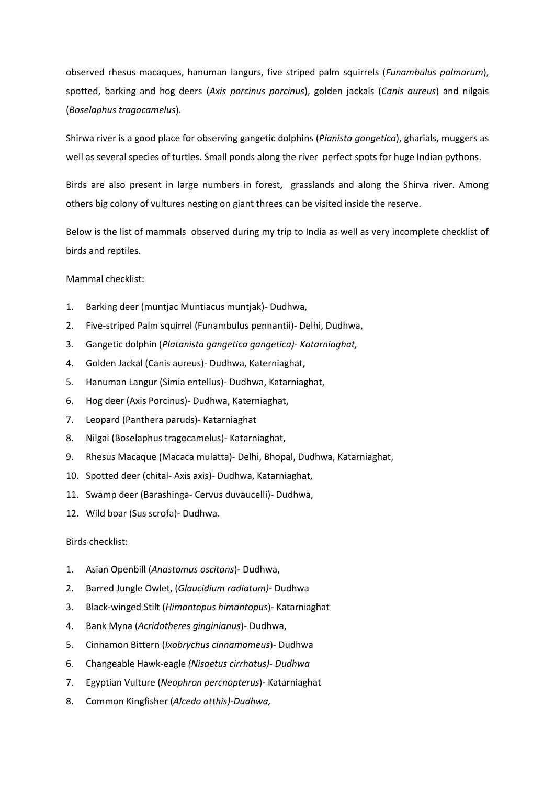observed rhesus macaques, hanuman langurs, five striped palm squirrels (*Funambulus palmarum*), spotted, barking and hog deers (*Axis porcinus porcinus*), golden jackals (*Canis aureus*) and nilgais (*Boselaphus tragocamelus*).

Shirwa river is a good place for observing gangetic dolphins (*Planista gangetica*), gharials, muggers as well as several species of turtles. Small ponds along the river perfect spots for huge Indian pythons.

Birds are also present in large numbers in forest, grasslands and along the Shirva river. Among others big colony of vultures nesting on giant threes can be visited inside the reserve.

Below is the list of mammals observed during my trip to India as well as very incomplete checklist of birds and reptiles.

## Mammal checklist:

- 1. Barking deer (muntjac Muntiacus muntjak)- Dudhwa,
- 2. Five-striped Palm squirrel (Funambulus pennantii)- Delhi, Dudhwa,
- 3. Gangetic dolphin (*Platanista gangetica gangetica)- Katarniaghat,*
- 4. Golden Jackal (Canis aureus)- Dudhwa, Katerniaghat,
- 5. Hanuman Langur (Simia entellus)- Dudhwa, Katarniaghat,
- 6. Hog deer (Axis Porcinus)- Dudhwa, Katerniaghat,
- 7. Leopard (Panthera paruds)- Katarniaghat
- 8. Nilgai (Boselaphus tragocamelus)- Katarniaghat,
- 9. Rhesus Macaque (Macaca mulatta)- Delhi, Bhopal, Dudhwa, Katarniaghat,
- 10. Spotted deer (chital- Axis axis)- Dudhwa, Katarniaghat,
- 11. Swamp deer (Barashinga- Cervus duvaucelli)- Dudhwa,
- 12. Wild boar (Sus scrofa)- Dudhwa.

## Birds checklist:

- 1. Asian Openbill (*Anastomus oscitans*)- Dudhwa,
- 2. Barred Jungle Owlet, (*Glaucidium radiatum)* Dudhwa
- 3. Black-winged Stilt (*Himantopus himantopus*)- Katarniaghat
- 4. Bank Myna (*Acridotheres ginginianus*)- Dudhwa,
- 5. Cinnamon Bittern (*Ixobrychus cinnamomeus*)- Dudhwa
- 6. Changeable Hawk-eagle *(Nisaetus cirrhatus)- Dudhwa*
- 7. Egyptian Vulture (*Neophron percnopterus*)- Katarniaghat
- 8. Common Kingfisher (*Alcedo atthis)-Dudhwa,*